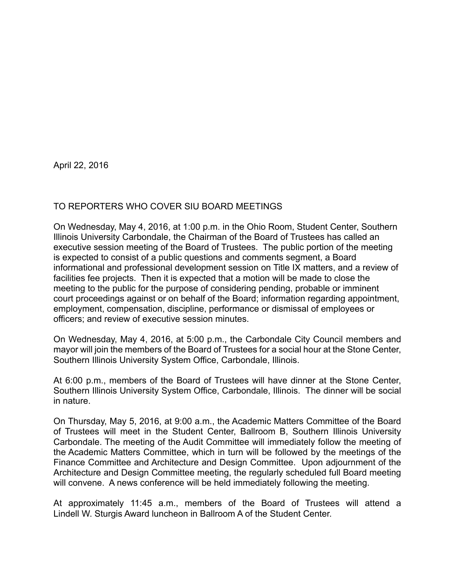April 22, 2016

## TO REPORTERS WHO COVER SIU BOARD MEETINGS

On Wednesday, May 4, 2016, at 1:00 p.m. in the Ohio Room, Student Center, Southern Illinois University Carbondale, the Chairman of the Board of Trustees has called an executive session meeting of the Board of Trustees. The public portion of the meeting is expected to consist of a public questions and comments segment, a Board informational and professional development session on Title IX matters, and a review of facilities fee projects. Then it is expected that a motion will be made to close the meeting to the public for the purpose of considering pending, probable or imminent court proceedings against or on behalf of the Board; information regarding appointment, employment, compensation, discipline, performance or dismissal of employees or officers; and review of executive session minutes.

On Wednesday, May 4, 2016, at 5:00 p.m., the Carbondale City Council members and mayor will join the members of the Board of Trustees for a social hour at the Stone Center, Southern Illinois University System Office, Carbondale, Illinois.

At 6:00 p.m., members of the Board of Trustees will have dinner at the Stone Center, Southern Illinois University System Office, Carbondale, Illinois. The dinner will be social in nature.

On Thursday, May 5, 2016, at 9:00 a.m., the Academic Matters Committee of the Board of Trustees will meet in the Student Center, Ballroom B, Southern Illinois University Carbondale. The meeting of the Audit Committee will immediately follow the meeting of the Academic Matters Committee, which in turn will be followed by the meetings of the Finance Committee and Architecture and Design Committee. Upon adjournment of the Architecture and Design Committee meeting, the regularly scheduled full Board meeting will convene. A news conference will be held immediately following the meeting.

At approximately 11:45 a.m., members of the Board of Trustees will attend a Lindell W. Sturgis Award luncheon in Ballroom A of the Student Center.